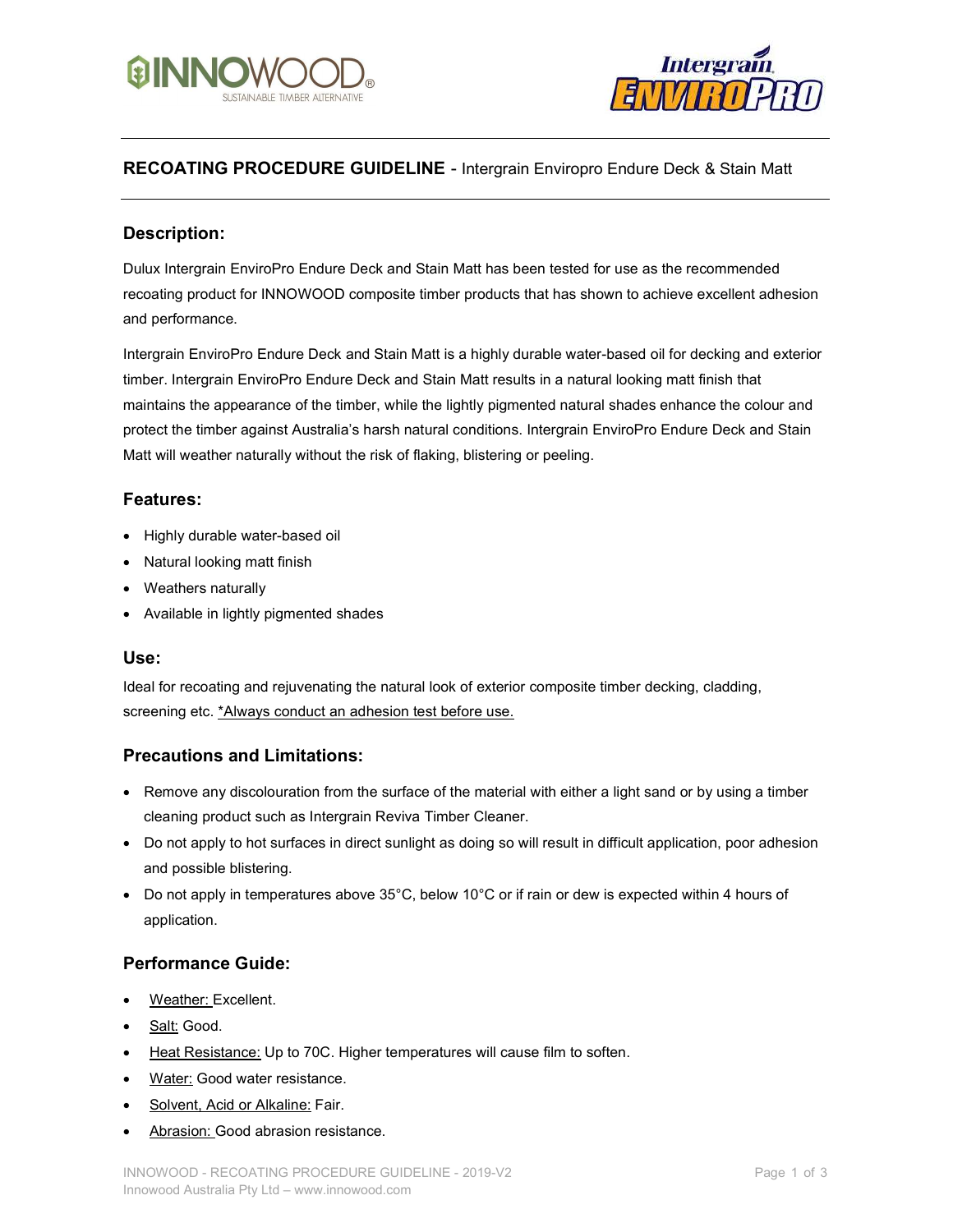



# **RECOATING PROCEDURE GUIDELINE - Intergrain Enviropro Endure Deck & Stain Matt**

### Description:

Dulux Intergrain EnviroPro Endure Deck and Stain Matt has been tested for use as the recommended recoating product for INNOWOOD composite timber products that has shown to achieve excellent adhesion and performance.

Intergrain EnviroPro Endure Deck and Stain Matt is a highly durable water-based oil for decking and exterior timber. Intergrain EnviroPro Endure Deck and Stain Matt results in a natural looking matt finish that maintains the appearance of the timber, while the lightly pigmented natural shades enhance the colour and protect the timber against Australia's harsh natural conditions. Intergrain EnviroPro Endure Deck and Stain Matt will weather naturally without the risk of flaking, blistering or peeling.

### Features:

- Highly durable water-based oil
- Natural looking matt finish
- Weathers naturally
- Available in lightly pigmented shades

#### Use:

Ideal for recoating and rejuvenating the natural look of exterior composite timber decking, cladding, screening etc. \*Always conduct an adhesion test before use.

#### Precautions and Limitations:

- Remove any discolouration from the surface of the material with either a light sand or by using a timber cleaning product such as Intergrain Reviva Timber Cleaner.
- Do not apply to hot surfaces in direct sunlight as doing so will result in difficult application, poor adhesion and possible blistering.
- $\bullet$  Do not apply in temperatures above 35°C, below 10°C or if rain or dew is expected within 4 hours of application.

#### Performance Guide:

- Weather: Excellent.
- Salt: Good.
- Heat Resistance: Up to 70C. Higher temperatures will cause film to soften.
- Water: Good water resistance.
- Solvent, Acid or Alkaline: Fair.
- Abrasion: Good abrasion resistance.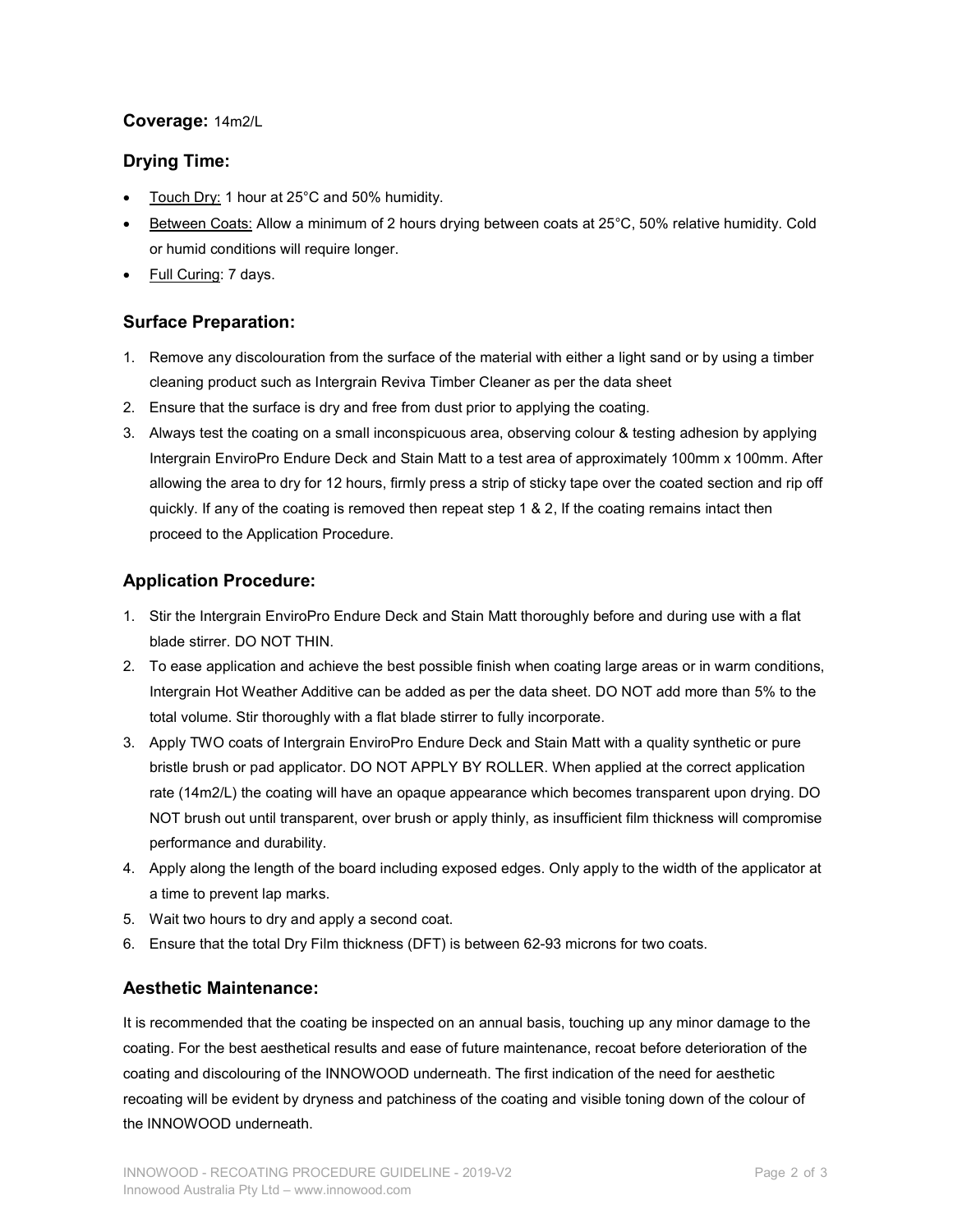# Coverage: 14m2/L

# Drying Time:

- Touch Dry: 1 hour at 25°C and 50% humidity.
- Between Coats: Allow a minimum of 2 hours drying between coats at 25°C, 50% relative humidity. Cold or humid conditions will require longer.
- Full Curing: 7 days.

# Surface Preparation:

- 1. Remove any discolouration from the surface of the material with either a light sand or by using a timber cleaning product such as Intergrain Reviva Timber Cleaner as per the data sheet
- 2. Ensure that the surface is dry and free from dust prior to applying the coating.
- 3. Always test the coating on a small inconspicuous area, observing colour & testing adhesion by applying Intergrain EnviroPro Endure Deck and Stain Matt to a test area of approximately 100mm x 100mm. After allowing the area to dry for 12 hours, firmly press a strip of sticky tape over the coated section and rip off quickly. If any of the coating is removed then repeat step 1 & 2, If the coating remains intact then proceed to the Application Procedure.

# Application Procedure:

- 1. Stir the Intergrain EnviroPro Endure Deck and Stain Matt thoroughly before and during use with a flat blade stirrer. DO NOT THIN.
- 2. To ease application and achieve the best possible finish when coating large areas or in warm conditions, Intergrain Hot Weather Additive can be added as per the data sheet. DO NOT add more than 5% to the total volume. Stir thoroughly with a flat blade stirrer to fully incorporate.
- 3. Apply TWO coats of Intergrain EnviroPro Endure Deck and Stain Matt with a quality synthetic or pure bristle brush or pad applicator. DO NOT APPLY BY ROLLER. When applied at the correct application rate (14m2/L) the coating will have an opaque appearance which becomes transparent upon drying. DO NOT brush out until transparent, over brush or apply thinly, as insufficient film thickness will compromise performance and durability.
- 4. Apply along the length of the board including exposed edges. Only apply to the width of the applicator at a time to prevent lap marks.
- 5. Wait two hours to dry and apply a second coat.
- 6. Ensure that the total Dry Film thickness (DFT) is between 62-93 microns for two coats.

#### Aesthetic Maintenance:

It is recommended that the coating be inspected on an annual basis, touching up any minor damage to the coating. For the best aesthetical results and ease of future maintenance, recoat before deterioration of the coating and discolouring of the INNOWOOD underneath. The first indication of the need for aesthetic recoating will be evident by dryness and patchiness of the coating and visible toning down of the colour of the INNOWOOD underneath.